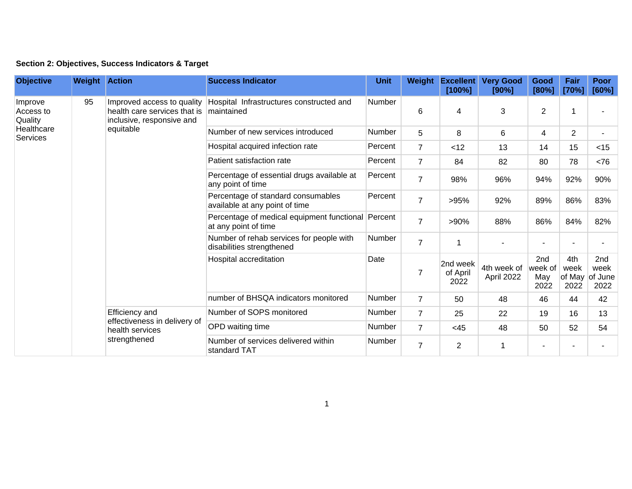| Section 2: Objectives, Success Indicators & Target |  |  |  |  |  |  |
|----------------------------------------------------|--|--|--|--|--|--|
|----------------------------------------------------|--|--|--|--|--|--|

| <b>Objective</b>                                          | <b>Weight Action</b> |                                                                                                      | <b>Success Indicator</b>                                                   | <b>Unit</b>   | Weight         | <b>Excellent</b><br>[100%]   | <b>Very Good</b><br>[90%] | Good<br>[80%]                 | Fair<br>[70%]                 | <b>Poor</b><br>[60%]           |
|-----------------------------------------------------------|----------------------|------------------------------------------------------------------------------------------------------|----------------------------------------------------------------------------|---------------|----------------|------------------------------|---------------------------|-------------------------------|-------------------------------|--------------------------------|
| Improve<br>Access to<br>Quality<br>Healthcare<br>Services | 95                   | Improved access to quality<br>health care services that is<br>inclusive, responsive and<br>equitable | Hospital Infrastructures constructed and<br>maintained                     | Number        | 6              | 4                            | $\mathbf{3}$              | $\overline{2}$                |                               |                                |
|                                                           |                      |                                                                                                      | Number of new services introduced                                          | <b>Number</b> | 5              | 8                            | 6                         | 4                             | $\overline{2}$                |                                |
|                                                           |                      |                                                                                                      | Hospital acquired infection rate                                           | Percent       | $\overline{7}$ | < 12                         | 13                        | 14                            | 15                            | $<$ 15                         |
|                                                           |                      |                                                                                                      | Patient satisfaction rate                                                  | Percent       | $\overline{7}$ | 84                           | 82                        | 80                            | 78                            | < 76                           |
|                                                           |                      |                                                                                                      | Percentage of essential drugs available at<br>any point of time            | Percent       | $\overline{7}$ | 98%                          | 96%                       | 94%                           | 92%                           | 90%                            |
|                                                           |                      |                                                                                                      | Percentage of standard consumables<br>available at any point of time       | Percent       | $\overline{7}$ | >95%                         | 92%                       | 89%                           | 86%                           | 83%                            |
|                                                           |                      |                                                                                                      | Percentage of medical equipment functional Percent<br>at any point of time |               | $\overline{7}$ | >90%                         | 88%                       | 86%                           | 84%                           | 82%                            |
|                                                           |                      |                                                                                                      | Number of rehab services for people with<br>disabilities strengthened      | <b>Number</b> | $\overline{7}$ | 1                            |                           |                               |                               |                                |
|                                                           |                      |                                                                                                      | Hospital accreditation                                                     | Date          | 7              | 2nd week<br>of April<br>2022 | 4th week of<br>April 2022 | 2nd<br>week of<br>May<br>2022 | 4th<br>week<br>of May<br>2022 | 2nd<br>week<br>of June<br>2022 |
|                                                           |                      |                                                                                                      | number of BHSQA indicators monitored                                       | <b>Number</b> | $\overline{7}$ | 50                           | 48                        | 46                            | 44                            | 42                             |
|                                                           |                      | Efficiency and<br>effectiveness in delivery of<br>health services<br>strengthened                    | Number of SOPS monitored                                                   | <b>Number</b> | $\overline{7}$ | 25                           | 22                        | 19                            | 16                            | 13                             |
|                                                           |                      |                                                                                                      | OPD waiting time                                                           | Number        | $\overline{7}$ | <45                          | 48                        | 50                            | 52                            | 54                             |
|                                                           |                      |                                                                                                      | Number of services delivered within<br>standard TAT                        | Number        | $\overline{7}$ | 2                            |                           |                               |                               |                                |